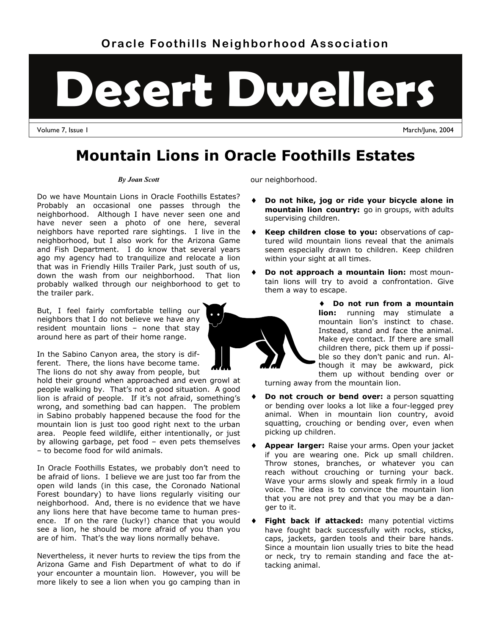# **Desert Dwellers**

Volume 7, Issue 1 March/June, 2004

# **Mountain Lions in Oracle Foothills Estates**

#### *By Joan Scott*

Do we have Mountain Lions in Oracle Foothills Estates? Probably an occasional one passes through the neighborhood. Although I have never seen one and have never seen a photo of one here, several neighbors have reported rare sightings. I live in the neighborhood, but I also work for the Arizona Game and Fish Department. I do know that several years ago my agency had to tranquilize and relocate a lion that was in Friendly Hills Trailer Park, just south of us, down the wash from our neighborhood. That lion probably walked through our neighborhood to get to the trailer park.

But, I feel fairly comfortable telling our neighbors that I do not believe we have any resident mountain lions – none that stay around here as part of their home range.

In the Sabino Canyon area, the story is different. There, the lions have become tame. The lions do not shy away from people, but

hold their ground when approached and even growl at people walking by. That's not a good situation. A good lion is afraid of people. If it's not afraid, something's wrong, and something bad can happen. The problem in Sabino probably happened because the food for the mountain lion is just too good right next to the urban area. People feed wildlife, either intentionally, or just by allowing garbage, pet food – even pets themselves – to become food for wild animals.

In Oracle Foothills Estates, we probably don't need to be afraid of lions. I believe we are just too far from the open wild lands (in this case, the Coronado National Forest boundary) to have lions regularly visiting our neighborhood. And, there is no evidence that we have any lions here that have become tame to human presence. If on the rare (lucky!) chance that you would see a lion, he should be more afraid of you than you are of him. That's the way lions normally behave.

Nevertheless, it never hurts to review the tips from the Arizona Game and Fish Department of what to do if your encounter a mountain lion. However, you will be more likely to see a lion when you go camping than in

our neighborhood.

- **Do not hike, jog or ride your bicycle alone in mountain lion country:** go in groups, with adults supervising children.
- **Keep children close to you:** observations of captured wild mountain lions reveal that the animals seem especially drawn to children. Keep children within your sight at all times.
- **Do not approach a mountain lion:** most mountain lions will try to avoid a confrontation. Give them a way to escape.



turning away from the mountain lion.

- **Do not crouch or bend over:** a person squatting or bending over looks a lot like a four-legged prey animal. When in mountain lion country, avoid squatting, crouching or bending over, even when picking up children.
- **Appear larger:** Raise your arms. Open your jacket if you are wearing one. Pick up small children. Throw stones, branches, or whatever you can reach without crouching or turning your back. Wave your arms slowly and speak firmly in a loud voice. The idea is to convince the mountain lion that you are not prey and that you may be a danger to it.
- **Fight back if attacked:** many potential victims have fought back successfully with rocks, sticks, caps, jackets, garden tools and their bare hands. Since a mountain lion usually tries to bite the head or neck, try to remain standing and face the attacking animal.

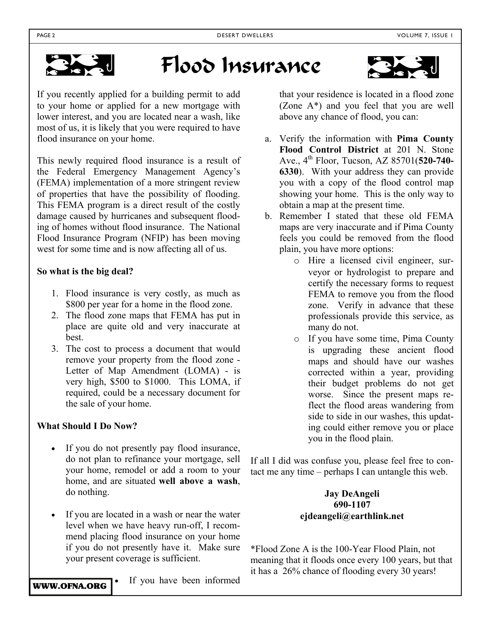

# Flood Insurance



If you recently applied for a building permit to add to your home or applied for a new mortgage with lower interest, and you are located near a wash, like most of us, it is likely that you were required to have flood insurance on your home.

This newly required flood insurance is a result of the Federal Emergency Management Agency's (FEMA) implementation of a more stringent review of properties that have the possibility of flooding. This FEMA program is a direct result of the costly damage caused by hurricanes and subsequent flooding of homes without flood insurance. The National Flood Insurance Program (NFIP) has been moving west for some time and is now affecting all of us.

#### **So what is the big deal?**

- 1. Flood insurance is very costly, as much as \$800 per year for a home in the flood zone.
- 2. The flood zone maps that FEMA has put in place are quite old and very inaccurate at best.
- 3. The cost to process a document that would remove your property from the flood zone - Letter of Map Amendment (LOMA) - is very high, \$500 to \$1000. This LOMA, if required, could be a necessary document for the sale of your home.

#### **What Should I Do Now?**

- If you do not presently pay flood insurance, do not plan to refinance your mortgage, sell your home, remodel or add a room to your home, and are situated **well above a wash**, do nothing.
- If you are located in a wash or near the water level when we have heavy run-off, I recommend placing flood insurance on your home if you do not presently have it. Make sure your present coverage is sufficient.

WWW.OFNA.ORG

If you have been informed

that your residence is located in a flood zone (Zone A\*) and you feel that you are well above any chance of flood, you can:

- a. Verify the information with **Pima County Flood Control District** at 201 N. Stone Ave., 4th Floor, Tucson, AZ 85701(**520-740- 6330**). With your address they can provide you with a copy of the flood control map showing your home. This is the only way to obtain a map at the present time.
- b. Remember I stated that these old FEMA maps are very inaccurate and if Pima County feels you could be removed from the flood plain, you have more options:
	- o Hire a licensed civil engineer, surveyor or hydrologist to prepare and certify the necessary forms to request FEMA to remove you from the flood zone. Verify in advance that these professionals provide this service, as many do not.
	- o If you have some time, Pima County is upgrading these ancient flood maps and should have our washes corrected within a year, providing their budget problems do not get worse. Since the present maps reflect the flood areas wandering from side to side in our washes, this updating could either remove you or place you in the flood plain.

If all I did was confuse you, please feel free to contact me any time – perhaps I can untangle this web.

#### **Jay DeAngeli 690-1107 ejdeangeli@earthlink.net**

\*Flood Zone A is the 100-Year Flood Plain, not meaning that it floods once every 100 years, but that it has a 26% chance of flooding every 30 years!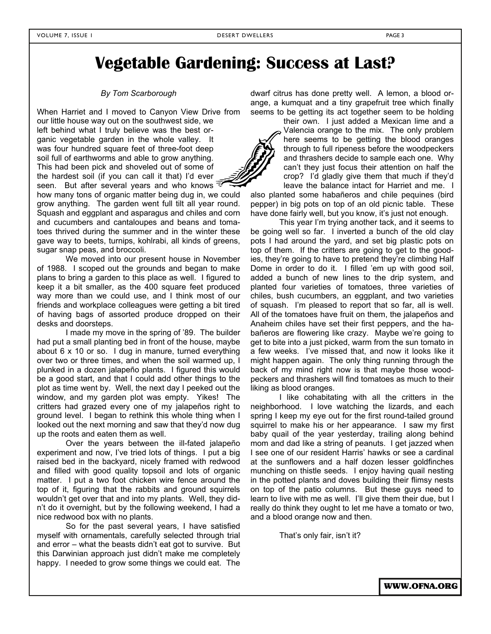## **Vegetable Gardening: Success at Last?**

#### *By Tom Scarborough*

When Harriet and I moved to Canyon View Drive from our little house way out on the southwest side, we left behind what I truly believe was the best organic vegetable garden in the whole valley. It was four hundred square feet of three-foot deep soil full of earthworms and able to grow anything. This had been pick and shoveled out of some of the hardest soil (if you can call it that) I'd ever seen. But after several years and who knows

how many tons of organic matter being dug in, we could grow anything. The garden went full tilt all year round. Squash and eggplant and asparagus and chiles and corn and cucumbers and cantaloupes and beans and tomatoes thrived during the summer and in the winter these gave way to beets, turnips, kohlrabi, all kinds of greens, sugar snap peas, and broccoli.

 We moved into our present house in November of 1988. I scoped out the grounds and began to make plans to bring a garden to this place as well. I figured to keep it a bit smaller, as the 400 square feet produced way more than we could use, and I think most of our friends and workplace colleagues were getting a bit tired of having bags of assorted produce dropped on their desks and doorsteps.

 I made my move in the spring of '89. The builder had put a small planting bed in front of the house, maybe about 6 x 10 or so. I dug in manure, turned everything over two or three times, and when the soil warmed up, I plunked in a dozen jalapeño plants. I figured this would be a good start, and that I could add other things to the plot as time went by. Well, the next day I peeked out the window, and my garden plot was empty. Yikes! The critters had grazed every one of my jalapeños right to ground level. I began to rethink this whole thing when I looked out the next morning and saw that they'd now dug up the roots and eaten them as well.

Over the years between the ill-fated jalapeño experiment and now, I've tried lots of things. I put a big raised bed in the backyard, nicely framed with redwood and filled with good quality topsoil and lots of organic matter. I put a two foot chicken wire fence around the top of it, figuring that the rabbits and ground squirrels wouldn't get over that and into my plants. Well, they didn't do it overnight, but by the following weekend, I had a nice redwood box with no plants.

So for the past several years, I have satisfied myself with ornamentals, carefully selected through trial and error – what the beasts didn't eat got to survive. But this Darwinian approach just didn't make me completely happy. I needed to grow some things we could eat. The

dwarf citrus has done pretty well. A lemon, a blood orange, a kumquat and a tiny grapefruit tree which finally seems to be getting its act together seem to be holding

> their own. I just added a Mexican lime and a Valencia orange to the mix. The only problem here seems to be getting the blood oranges through to full ripeness before the woodpeckers and thrashers decide to sample each one. Why can't they just focus their attention on half the crop? I'd gladly give them that much if they'd leave the balance intact for Harriet and me. I

also planted some habañeros and chile pequines (bird pepper) in big pots on top of an old picnic table. These have done fairly well, but you know, it's just not enough.

This year I'm trying another tack, and it seems to be going well so far. I inverted a bunch of the old clay pots I had around the yard, and set big plastic pots on top of them. If the critters are going to get to the goodies, they're going to have to pretend they're climbing Half Dome in order to do it. I filled 'em up with good soil, added a bunch of new lines to the drip system, and planted four varieties of tomatoes, three varieties of chiles, bush cucumbers, an eggplant, and two varieties of squash. I'm pleased to report that so far, all is well. All of the tomatoes have fruit on them, the jalapeños and Anaheim chiles have set their first peppers, and the habañeros are flowering like crazy. Maybe we're going to get to bite into a just picked, warm from the sun tomato in a few weeks. I've missed that, and now it looks like it might happen again. The only thing running through the back of my mind right now is that maybe those woodpeckers and thrashers will find tomatoes as much to their liking as blood oranges.

I like cohabitating with all the critters in the neighborhood. I love watching the lizards, and each spring I keep my eye out for the first round-tailed ground squirrel to make his or her appearance. I saw my first baby quail of the year yesterday, trailing along behind mom and dad like a string of peanuts. I get jazzed when I see one of our resident Harris' hawks or see a cardinal at the sunflowers and a half dozen lesser goldfinches munching on thistle seeds. I enjoy having quail nesting in the potted plants and doves building their flimsy nests on top of the patio columns. But these guys need to learn to live with me as well. I'll give them their due, but I really do think they ought to let me have a tomato or two, and a blood orange now and then.

That's only fair, isn't it?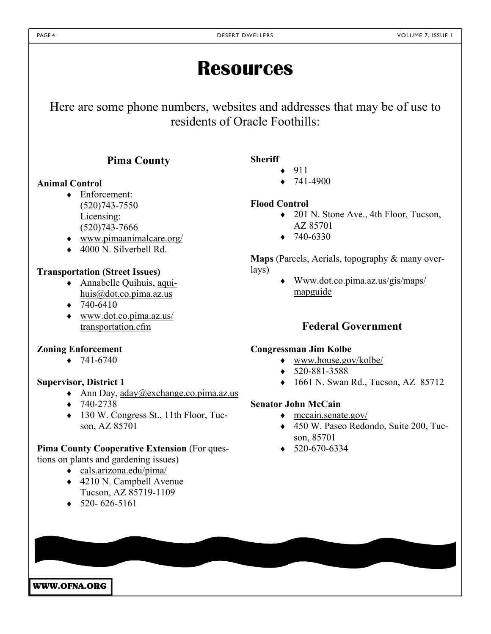# **Resources**

Here are some phone numbers, websites and addresses that may be of use to residents of Oracle Foothills:

## **Pima County**

#### **Animal Control**

- Enforcement: (520)743-7550 Licensing: (520)743-7666
- www.pimaanimalcare.org/
- $\triangle$  4000 N. Silverbell Rd.

#### **Transportation (Street Issues)**

- Annabelle Quihuis, aquihuis@dot.co.pima.az.us
- $\div$  740-6410
- www.dot.co.pima.az.us/ transportation.cfm

#### **Zoning Enforcement**

 $\div$  741-6740

#### **Supervisor, District 1**

- Ann Day,  $\alpha$ day@exchange.co.pima.az.us
- $+ 740 2738$
- ◆ 130 W. Congress St., 11th Floor, Tucson, AZ 85701

#### **Pima County Cooperative Extension** (For ques-

- tions on plants and gardening issues)
	- cals.arizona.edu/pima/
	- ◆ 4210 N. Campbell Avenue Tucson, AZ 85719-1109
	- $\bullet$  520-626-5161

 $\div$  741-4900

#### **Flood Control**

- 201 N. Stone Ave., 4th Floor, Tucson, AZ 85701
- $+ 740 6330$

**Maps** (Parcels, Aerials, topography & many overlays)

> Www.dot.co.pima.az.us/gis/maps/ mapguide

## **Federal Government**

#### **Congressman Jim Kolbe**

- www.house.gov/kolbe/
- $\triangleleft$  520-881-3588
- $\bullet$  1661 N. Swan Rd., Tucson, AZ 85712

## **Senator John McCain**

- $\bullet$  mccain.senate.gov/
- 450 W. Paseo Redondo, Suite 200, Tucson, 85701
- $\bullet$  520-670-6334

WWW.OFNA.ORG

**Sheriff** 

- $\bullet$  911
- 

- 
-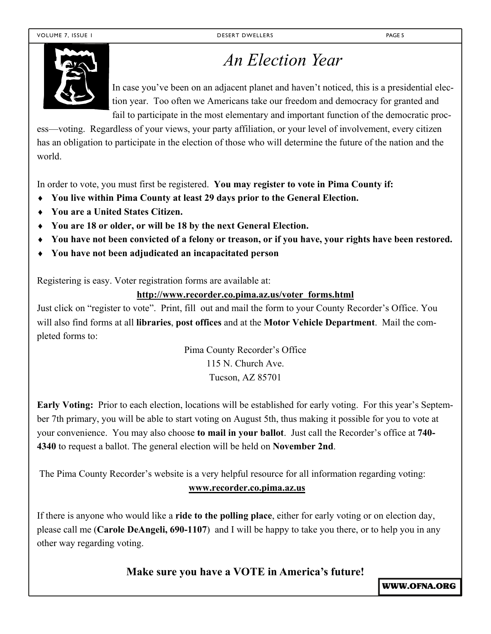

# *An Election Year*

In case you've been on an adjacent planet and haven't noticed, this is a presidential election year. Too often we Americans take our freedom and democracy for granted and fail to participate in the most elementary and important function of the democratic proc-

ess—voting. Regardless of your views, your party affiliation, or your level of involvement, every citizen has an obligation to participate in the election of those who will determine the future of the nation and the world.

In order to vote, you must first be registered. **You may register to vote in Pima County if:** 

- **You live within Pima County at least 29 days prior to the General Election.**
- **You are a United States Citizen.**
- **You are 18 or older, or will be 18 by the next General Election.**
- **You have not been convicted of a felony or treason, or if you have, your rights have been restored.**
- **You have not been adjudicated an incapacitated person**

Registering is easy. Voter registration forms are available at:

#### **http://www.recorder.co.pima.az.us/voter\_forms.html**

Just click on "register to vote". Print, fill out and mail the form to your County Recorder's Office. You will also find forms at all **libraries**, **post offices** and at the **Motor Vehicle Department**. Mail the completed forms to:

> Pima County Recorder's Office 115 N. Church Ave. Tucson, AZ 85701

**Early Voting:** Prior to each election, locations will be established for early voting. For this year's September 7th primary, you will be able to start voting on August 5th, thus making it possible for you to vote at your convenience. You may also choose **to mail in your ballot**. Just call the Recorder's office at **740- 4340** to request a ballot. The general election will be held on **November 2nd**.

The Pima County Recorder's website is a very helpful resource for all information regarding voting:

#### **www.recorder.co.pima.az.us**

If there is anyone who would like a **ride to the polling place**, either for early voting or on election day, please call me (**Carole DeAngeli, 690-1107**) and I will be happy to take you there, or to help you in any other way regarding voting.

**Make sure you have a VOTE in America's future!** 

WWW.OFNA.ORG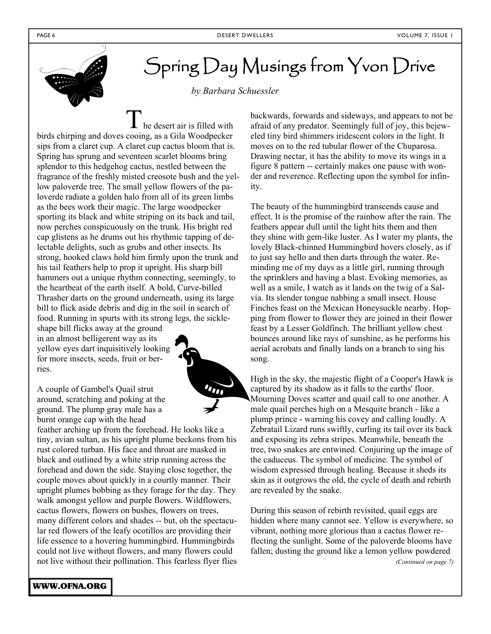

# Spring Day Musings from Yvon Drive

*by Barbara Schuessler*

he desert air is filled with birds chirping and doves cooing, as a Gila Woodpecker sips from a claret cup. A claret cup cactus bloom that is. Spring has sprung and seventeen scarlet blooms bring splendor to this hedgehog cactus, nestled between the fragrance of the freshly misted creosote bush and the yellow paloverde tree. The small yellow flowers of the paloverde radiate a golden halo from all of its green limbs as the bees work their magic. The large woodpecker sporting its black and white striping on its back and tail, now perches conspicuously on the trunk. His bright red cap glistens as he drums out his rhythmic tapping of delectable delights, such as grubs and other insects. Its strong, hooked claws hold him firmly upon the trunk and his tail feathers help to prop it upright. His sharp bill hammers out a unique rhythm connecting, seemingly, to the heartbeat of the earth itself. A bold, Curve-billed Thrasher darts on the ground underneath, using its large bill to flick aside debris and dig in the soil in search of food. Running in spurts with its strong legs, the sickle-

shape bill flicks away at the ground in an almost belligerent way as its yellow eyes dart inquisitively looking for more insects, seeds, fruit or berries.

A couple of Gambel's Quail strut around, scratching and poking at the ground. The plump gray male has a burnt orange cap with the head

feather arching up from the forehead. He looks like a tiny, avian sultan, as his upright plume beckons from his rust colored turban. His face and throat are masked in black and outlined by a white strip running across the forehead and down the side. Staying close together, the couple moves about quickly in a courtly manner. Their upright plumes bobbing as they forage for the day. They walk amongst yellow and purple flowers. Wildflowers, cactus flowers, flowers on bushes, flowers on trees, many different colors and shades -- but, oh the spectacular red flowers of the leafy ocotillos are providing their life essence to a hovering hummingbird. Hummingbirds could not live without flowers, and many flowers could not live without their pollination. This fearless flyer flies backwards, forwards and sideways, and appears to not be afraid of any predator. Seemingly full of joy, this bejeweled tiny bird shimmers iridescent colors in the light. It moves on to the red tubular flower of the Chuparosa. Drawing nectar, it has the ability to move its wings in a figure 8 pattern -- certainly makes one pause with wonder and reverence. Reflecting upon the symbol for infinity.

The beauty of the hummingbird transcends cause and effect. It is the promise of the rainbow after the rain. The feathers appear dull until the light hits them and then they shine with gem-like luster. As I water my plants, the lovely Black-chinned Hummingbird hovers closely, as if to just say hello and then darts through the water. Reminding me of my days as a little girl, running through the sprinklers and having a blast. Evoking memories, as well as a smile, I watch as it lands on the twig of a Salvia. Its slender tongue nabbing a small insect. House Finches feast on the Mexican Honeysuckle nearby. Hopping from flower to flower they are joined in their flower feast by a Lesser Goldfinch. The brilliant yellow chest bounces around like rays of sunshine, as he performs his aerial acrobats and finally lands on a branch to sing his song.

High in the sky, the majestic flight of a Cooper's Hawk is captured by its shadow as it falls to the earths' floor. Mourning Doves scatter and quail call to one another. A male quail perches high on a Mesquite branch - like a plump prince - warning his covey and calling loudly. A Zebratail Lizard runs swiftly, curling its tail over its back and exposing its zebra stripes. Meanwhile, beneath the tree, two snakes are entwined. Conjuring up the image of the caduceus. The symbol of medicine. The symbol of wisdom expressed through healing. Because it sheds its skin as it outgrows the old, the cycle of death and rebirth are revealed by the snake.

During this season of rebirth revisited, quail eggs are hidden where many cannot see. Yellow is everywhere, so vibrant, nothing more glorious than a cactus flower reflecting the sunlight. Some of the paloverde blooms have fallen; dusting the ground like a lemon yellow powdered

*(Continued on page 7)* 

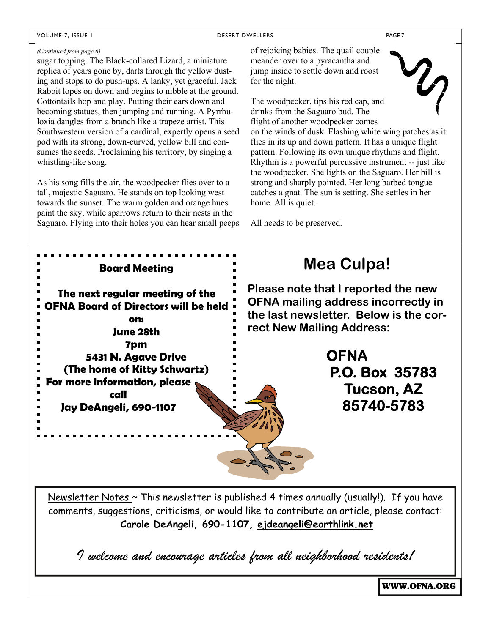VOLUME 7, ISSUE I DESERT DWELLERS PAGE 7

#### *(Continued from page 6)*

sugar topping. The Black-collared Lizard, a miniature replica of years gone by, darts through the yellow dusting and stops to do push-ups. A lanky, yet graceful, Jack Rabbit lopes on down and begins to nibble at the ground. Cottontails hop and play. Putting their ears down and becoming statues, then jumping and running. A Pyrrhuloxia dangles from a branch like a trapeze artist. This Southwestern version of a cardinal, expertly opens a seed pod with its strong, down-curved, yellow bill and consumes the seeds. Proclaiming his territory, by singing a whistling-like song.

As his song fills the air, the woodpecker flies over to a tall, majestic Saguaro. He stands on top looking west towards the sunset. The warm golden and orange hues paint the sky, while sparrows return to their nests in the Saguaro. Flying into their holes you can hear small peeps

of rejoicing babies. The quail couple meander over to a pyracantha and jump inside to settle down and roost for the night.

 $2\rho$ The woodpecker, tips his red cap, and drinks from the Saguaro bud. The flight of another woodpecker comes on the winds of dusk. Flashing white wing patches as it flies in its up and down pattern. It has a unique flight pattern. Following its own unique rhythms and flight. Rhythm is a powerful percussive instrument -- just like the woodpecker. She lights on the Saguaro. Her bill is strong and sharply pointed. Her long barbed tongue catches a gnat. The sun is setting. She settles in her home. All is quiet.

All needs to be preserved.



Newsletter Notes  $\sim$  This newsletter is published 4 times annually (usually!). If you have comments, suggestions, criticisms, or would like to contribute an article, please contact: **Carole DeAngeli, 690-1107, ejdeangeli@earthlink.net**

*I welcome and encourage articles from all neighborhood residents!* 

WWW.OFNA.ORG